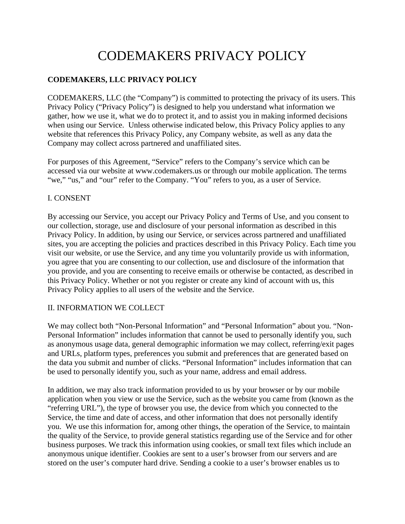# CODEMAKERS PRIVACY POLICY

# **CODEMAKERS, LLC PRIVACY POLICY**

CODEMAKERS, LLC (the "Company") is committed to protecting the privacy of its users. This Privacy Policy ("Privacy Policy") is designed to help you understand what information we gather, how we use it, what we do to protect it, and to assist you in making informed decisions when using our Service. Unless otherwise indicated below, this Privacy Policy applies to any website that references this Privacy Policy, any Company website, as well as any data the Company may collect across partnered and unaffiliated sites.

For purposes of this Agreement, "Service" refers to the Company's service which can be accessed via our website at www.codemakers.us or through our mobile application. The terms "we," "us," and "our" refer to the Company. "You" refers to you, as a user of Service.

#### I. CONSENT

By accessing our Service, you accept our Privacy Policy and Terms of Use, and you consent to our collection, storage, use and disclosure of your personal information as described in this Privacy Policy. In addition, by using our Service, or services across partnered and unaffiliated sites, you are accepting the policies and practices described in this Privacy Policy. Each time you visit our website, or use the Service, and any time you voluntarily provide us with information, you agree that you are consenting to our collection, use and disclosure of the information that you provide, and you are consenting to receive emails or otherwise be contacted, as described in this Privacy Policy. Whether or not you register or create any kind of account with us, this Privacy Policy applies to all users of the website and the Service.

#### II. INFORMATION WE COLLECT

We may collect both "Non-Personal Information" and "Personal Information" about you. "Non-Personal Information" includes information that cannot be used to personally identify you, such as anonymous usage data, general demographic information we may collect, referring/exit pages and URLs, platform types, preferences you submit and preferences that are generated based on the data you submit and number of clicks. "Personal Information" includes information that can be used to personally identify you, such as your name, address and email address.

In addition, we may also track information provided to us by your browser or by our mobile application when you view or use the Service, such as the website you came from (known as the "referring URL"), the type of browser you use, the device from which you connected to the Service, the time and date of access, and other information that does not personally identify you. We use this information for, among other things, the operation of the Service, to maintain the quality of the Service, to provide general statistics regarding use of the Service and for other business purposes. We track this information using cookies, or small text files which include an anonymous unique identifier. Cookies are sent to a user's browser from our servers and are stored on the user's computer hard drive. Sending a cookie to a user's browser enables us to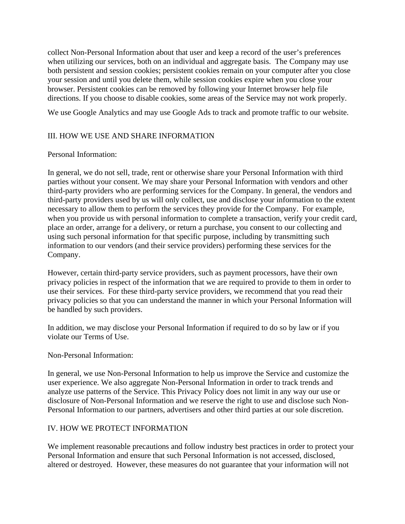collect Non-Personal Information about that user and keep a record of the user's preferences when utilizing our services, both on an individual and aggregate basis. The Company may use both persistent and session cookies; persistent cookies remain on your computer after you close your session and until you delete them, while session cookies expire when you close your browser. Persistent cookies can be removed by following your Internet browser help file directions. If you choose to disable cookies, some areas of the Service may not work properly.

We use Google Analytics and may use Google Ads to track and promote traffic to our website.

#### III. HOW WE USE AND SHARE INFORMATION

#### Personal Information:

In general, we do not sell, trade, rent or otherwise share your Personal Information with third parties without your consent. We may share your Personal Information with vendors and other third-party providers who are performing services for the Company. In general, the vendors and third-party providers used by us will only collect, use and disclose your information to the extent necessary to allow them to perform the services they provide for the Company. For example, when you provide us with personal information to complete a transaction, verify your credit card, place an order, arrange for a delivery, or return a purchase, you consent to our collecting and using such personal information for that specific purpose, including by transmitting such information to our vendors (and their service providers) performing these services for the Company.

However, certain third-party service providers, such as payment processors, have their own privacy policies in respect of the information that we are required to provide to them in order to use their services. For these third-party service providers, we recommend that you read their privacy policies so that you can understand the manner in which your Personal Information will be handled by such providers.

In addition, we may disclose your Personal Information if required to do so by law or if you violate our Terms of Use.

#### Non-Personal Information:

In general, we use Non-Personal Information to help us improve the Service and customize the user experience. We also aggregate Non-Personal Information in order to track trends and analyze use patterns of the Service. This Privacy Policy does not limit in any way our use or disclosure of Non-Personal Information and we reserve the right to use and disclose such Non-Personal Information to our partners, advertisers and other third parties at our sole discretion.

#### IV. HOW WE PROTECT INFORMATION

We implement reasonable precautions and follow industry best practices in order to protect your Personal Information and ensure that such Personal Information is not accessed, disclosed, altered or destroyed. However, these measures do not guarantee that your information will not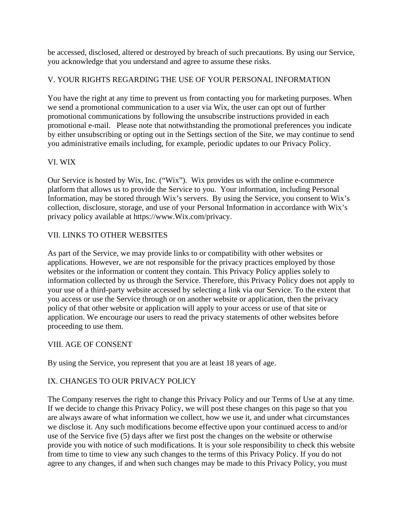be accessed, disclosed, altered or destroyed by breach of such precautions. By using our Service, you acknowledge that you understand and agree to assume these risks.

#### V. YOUR RIGHTS REGARDING THE USE OF YOUR PERSONAL INFORMATION

You have the right at any time to prevent us from contacting you for marketing purposes. When we send a promotional communication to a user via Wix, the user can opt out of further promotional communications by following the unsubscribe instructions provided in each promotional e-mail. Please note that notwithstanding the promotional preferences you indicate by either unsubscribing or opting out in the Settings section of the Site, we may continue to send you administrative emails including, for example, periodic updates to our Privacy Policy.

#### VI. WIX

Our Service is hosted by Wix, Inc. ("Wix"). Wix provides us with the online e-commerce platform that allows us to provide the Service to you. Your information, including Personal Information, may be stored through Wix's servers. By using the Service, you consent to Wix's collection, disclosure, storage, and use of your Personal Information in accordance with Wix's privacy policy available at https://www.Wix.com/privacy.

## VII. LINKS TO OTHER WEBSITES

As part of the Service, we may provide links to or compatibility with other websites or applications. However, we are not responsible for the privacy practices employed by those websites or the information or content they contain. This Privacy Policy applies solely to information collected by us through the Service. Therefore, this Privacy Policy does not apply to your use of a third-party website accessed by selecting a link via our Service. To the extent that you access or use the Service through or on another website or application, then the privacy policy of that other website or application will apply to your access or use of that site or application. We encourage our users to read the privacy statements of other websites before proceeding to use them.

#### VIII. AGE OF CONSENT

By using the Service, you represent that you are at least 18 years of age.

## IX. CHANGES TO OUR PRIVACY POLICY

The Company reserves the right to change this Privacy Policy and our Terms of Use at any time. If we decide to change this Privacy Policy, we will post these changes on this page so that you are always aware of what information we collect, how we use it, and under what circumstances we disclose it. Any such modifications become effective upon your continued access to and/or use of the Service five (5) days after we first post the changes on the website or otherwise provide you with notice of such modifications. It is your sole responsibility to check this website from time to time to view any such changes to the terms of this Privacy Policy. If you do not agree to any changes, if and when such changes may be made to this Privacy Policy, you must